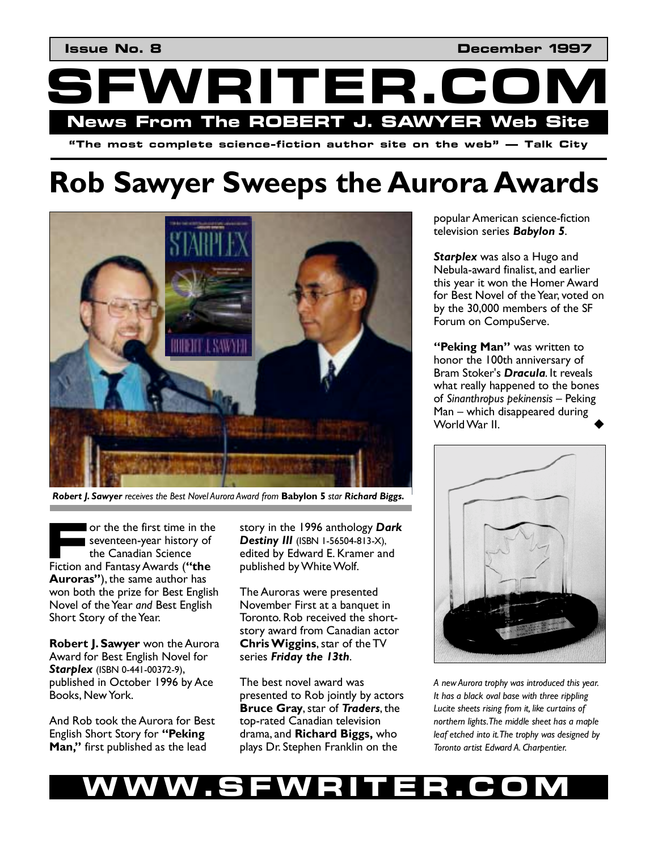

# **Rob Sawyer Sweeps the Aurora Awards**



*Robert J. Sawyer receives the Best Novel Aurora Award from* **Babylon 5** *star Richard Biggs.*

or the the first time in the seventeen-year history of the Canadian Science Figure 1 or the the first time in the seventeen-year history of the Canadian Science Fiction and Fantasy Awards (**"the Aurorasî**), the same author has won both the prize for Best English Novel of the Year *and* Best English Short Story of the Year.

**Robert J. Sawyer** won the Aurora Award for Best English Novel for *Starplex* (ISBN 0-441-00372-9), published in October 1996 by Ace Books, New York.

And Rob took the Aurora for Best English Short Story for "Peking Man," first published as the lead

story in the 1996 anthology *Dark*  **Destiny III** (ISBN 1-56504-813-X), edited by Edward E. Kramer and published by White Wolf.

The Auroras were presented November First at a banquet in Toronto. Rob received the shortstory award from Canadian actor **Chris Wiggins**, star of the TV series *Friday the 13th*.

The best novel award was presented to Rob jointly by actors **Bruce Gray**, star of *Traders*, the top-rated Canadian television drama, and **Richard Biggs,** who plays Dr. Stephen Franklin on the

popular American science-fiction television series *Babylon 5*.

*Starplex* was also a Hugo and Nebula-award finalist, and earlier this year it won the Homer Award for Best Novel of the Year, voted on by the 30,000 members of the SF Forum on CompuServe.

*'***Peking Man''** was written to honor the 100th anniversary of Bram Stoker's *Dracula*. It reveals what really happened to the bones of *Sinanthropus pekinensis* – Peking  $Man - which$  disappeared during World War II.



*A new Aurora trophy was introduced this year. It has a black oval base with three rippling Lucite sheets rising from it, like curtains of northern lights. The middle sheet has a maple leaf etched into it. The trophy was designed by Toronto artist Edward A. Charpentier.* 

## **WWW.SFWRITER.COM**